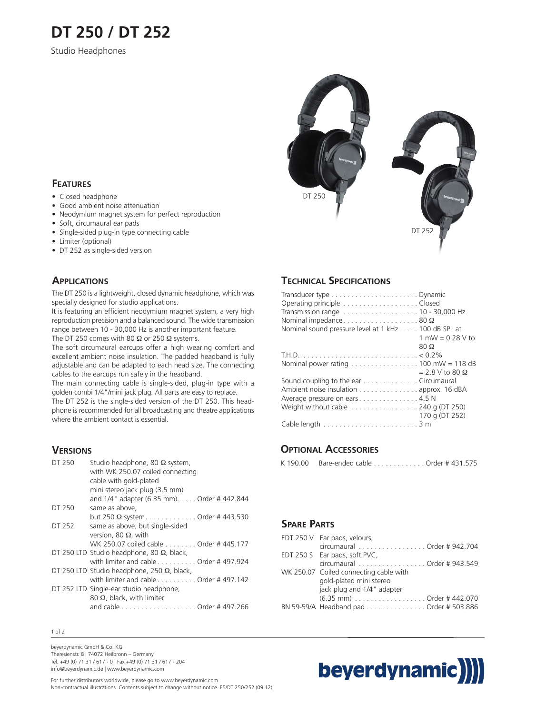# **DT 250 / DT 252**

Studio Headphones

# DT 250



### **FEATURES**

- Closed headphone
- Good ambient noise attenuation
- Neodymium magnet system for perfect reproduction
- Soft, circumaural ear pads
- Single-sided plug-in type connecting cable
- Limiter (optional)
- DT 252 as single-sided version

### **APPLICATIONS**

The DT 250 is a lightweight, closed dynamic headphone, which was specially designed for studio applications.

It is featuring an efficient neodymium magnet system, a very high reproduction precision and a balanced sound. The wide transmission range between 10 - 30,000 Hz is another important feature. The DT 250 comes with 80  $\Omega$  or 250  $\Omega$  systems.

The soft circumaural earcups offer a high wearing comfort and excellent ambient noise insulation. The padded headband is fully adjustable and can be adapted to each head size. The connecting cables to the earcups run safely in the headband.

The main connecting cable is single-sided, plug-in type with a golden combi 1/4"/mini jack plug. All parts are easy to replace.

The DT 252 is the single-sided version of the DT 250. This headphone is recommended for all broadcasting and theatre applications where the ambient contact is essential.

### **VERSIONS**

| DT 250 | Studio headphone, 80 $\Omega$ system,<br>with WK 250.07 coiled connecting<br>cable with gold-plated<br>mini stereo jack plug (3.5 mm) |
|--------|---------------------------------------------------------------------------------------------------------------------------------------|
|        | and 1/4" adapter (6.35 mm). Order #442.844                                                                                            |
| DT 250 | same as above.                                                                                                                        |
|        | but 250 Ω system. Order # 443.530                                                                                                     |
| DT 252 | same as above, but single-sided                                                                                                       |
|        | version, 80 $\Omega$ , with                                                                                                           |
|        | WK 250.07 coiled cable Order # 445.177                                                                                                |
|        | DT 250 LTD Studio headphone, 80 $\Omega$ , black,                                                                                     |
|        | with limiter and cable $\dots\dots\dots$ Order # 497.924                                                                              |
|        | DT 250 LTD Studio headphone, 250 $\Omega$ , black,                                                                                    |
|        | with limiter and cable Order #497.142                                                                                                 |
|        | DT 252 LTD Single-ear studio headphone,                                                                                               |
|        | 80 $\Omega$ , black, with limiter                                                                                                     |
|        | and cable Order # 497.266                                                                                                             |
|        |                                                                                                                                       |

### **TECHNICAL SPECIFICATIONS**

| Operating principle Closed                                                       |                          |
|----------------------------------------------------------------------------------|--------------------------|
|                                                                                  |                          |
| Nominal impedance80 $\Omega$                                                     |                          |
| Nominal sound pressure level at 1 kHz 100 dB SPL at                              |                          |
|                                                                                  | 1 mW = $0.28$ V to       |
|                                                                                  | $80\ \Omega$             |
|                                                                                  |                          |
| Nominal power rating $\dots \dots \dots \dots \dots \dots \dots 100$ mW = 118 dB |                          |
|                                                                                  | $= 2.8 V$ to 80 $\Omega$ |
| Sound coupling to the ear Circumaural                                            |                          |
| Ambient noise insulation approx. 16 dBA                                          |                          |
| Average pressure on ears 4.5 N                                                   |                          |
| Weight without cable $\dots\dots\dots\dots\dots$ 240 g (DT 250)                  |                          |
|                                                                                  | 170 g (DT 252)           |
|                                                                                  |                          |
|                                                                                  |                          |

### **OPTIONAL ACCESSORIES**

|  | K 190.00 Bare-ended cable Order # 431.575 |
|--|-------------------------------------------|
|--|-------------------------------------------|

### **SPARE PARTS**

| EDT 250 V Ear pads, velours,            |
|-----------------------------------------|
| circumaural Order # 942.704             |
| EDT 250 S Ear pads, soft PVC,           |
| circumaural Order # 943.549             |
| WK 250.07 Coiled connecting cable with  |
| gold-plated mini stereo                 |
| jack plug and 1/4" adapter              |
| $(6.35 \text{ mm})$ Order # 442.070     |
| BN 59-59/A Headband pad Order # 503.886 |

### 1 of 2

beyerdynamic GmbH & Co. KG Theresienstr. 8 | 74072 Heilbronn – Germany Tel. +49 (0) 71 31 / 617 - 0 | Fax +49 (0) 71 31 / 617 - 204 info@beyerdynamic.de | www.beyerdynamic.com

For further distributors worldwide, please go to www.beyerdynamic.com Non-contractual illustrations. Contents subject to change without notice. E5/DT 250/252 (09.12)

# beyerdynamic)